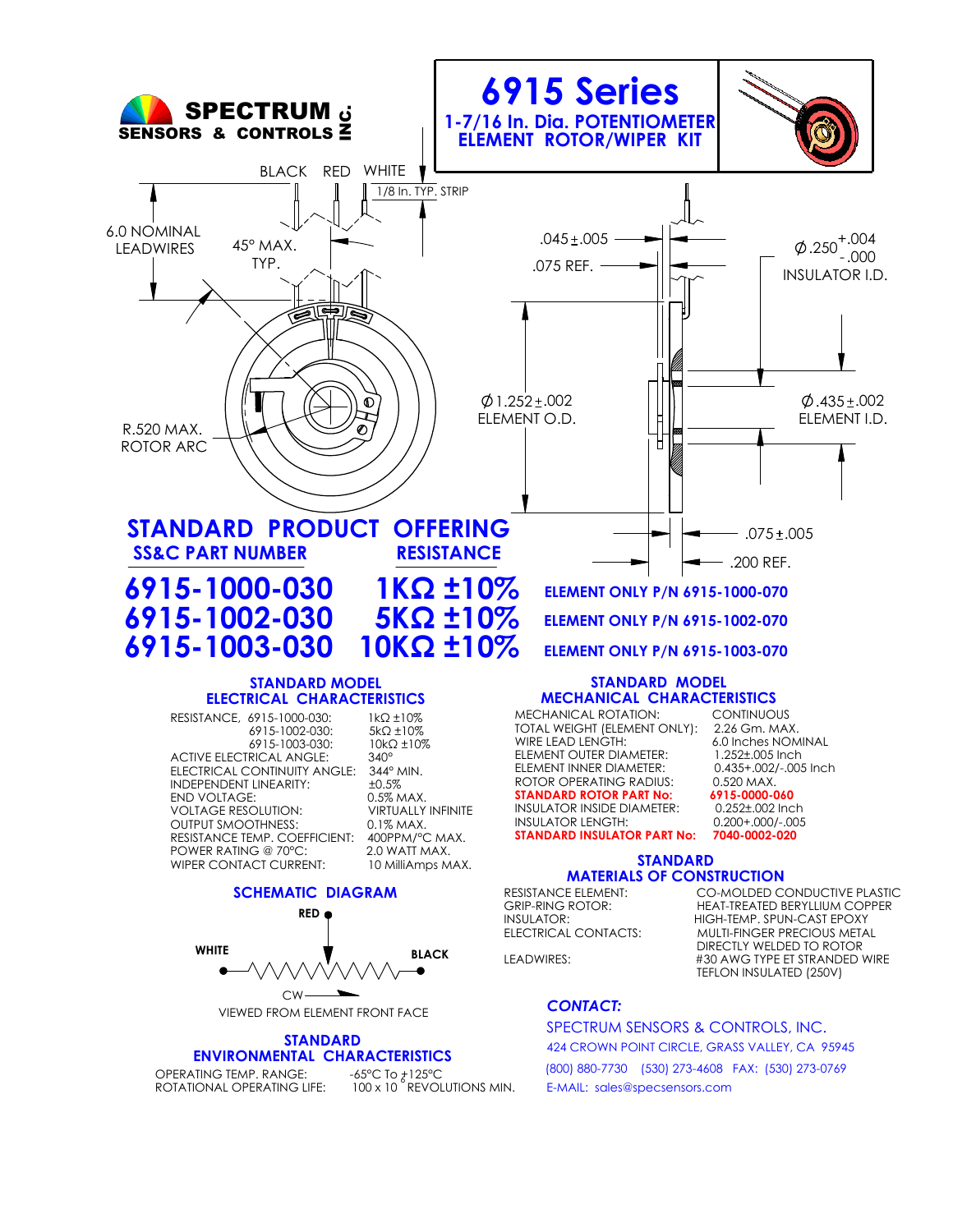